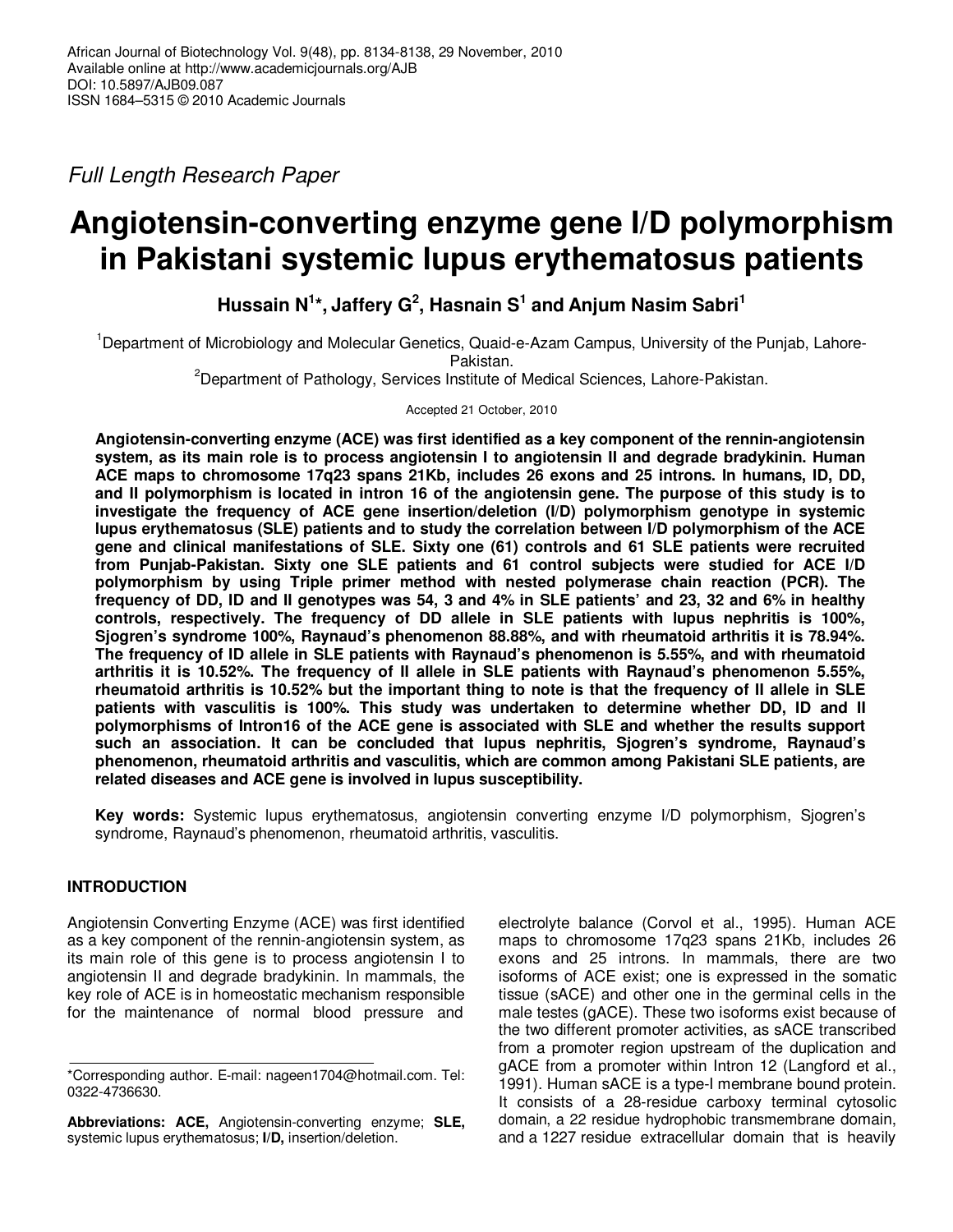Full Length Research Paper

# **Angiotensin-converting enzyme gene I/D polymorphism in Pakistani systemic lupus erythematosus patients**

**Hussain N<sup>1</sup> \*, Jaffery G<sup>2</sup> , Hasnain S<sup>1</sup> and Anjum Nasim Sabri<sup>1</sup>**

<sup>1</sup>Department of Microbiology and Molecular Genetics, Quaid-e-Azam Campus, University of the Punjab, Lahore-Pakistan.

<sup>2</sup>Department of Pathology, Services Institute of Medical Sciences, Lahore-Pakistan.

Accepted 21 October, 2010

**Angiotensin-converting enzyme (ACE) was first identified as a key component of the rennin-angiotensin system, as its main role is to process angiotensin I to angiotensin II and degrade bradykinin. Human ACE maps to chromosome 17q23 spans 21Kb, includes 26 exons and 25 introns. In humans, ID, DD, and II polymorphism is located in intron 16 of the angiotensin gene. The purpose of this study is to investigate the frequency of ACE gene insertion/deletion (I/D) polymorphism genotype in systemic lupus erythematosus (SLE) patients and to study the correlation between I/D polymorphism of the ACE gene and clinical manifestations of SLE. Sixty one (61) controls and 61 SLE patients were recruited from Punjab-Pakistan. Sixty one SLE patients and 61 control subjects were studied for ACE I/D polymorphism by using Triple primer method with nested polymerase chain reaction (PCR). The frequency of DD, ID and II genotypes was 54, 3 and 4% in SLE patients' and 23, 32 and 6% in healthy controls, respectively. The frequency of DD allele in SLE patients with lupus nephritis is 100%, Sjogren's syndrome 100%, Raynaud's phenomenon 88.88%, and with rheumatoid arthritis it is 78.94%. The frequency of ID allele in SLE patients with Raynaud's phenomenon is 5.55%, and with rheumatoid arthritis it is 10.52%. The frequency of II allele in SLE patients with Raynaud's phenomenon 5.55%, rheumatoid arthritis is 10.52% but the important thing to note is that the frequency of II allele in SLE patients with vasculitis is 100%. This study was undertaken to determine whether DD, ID and II polymorphisms of Intron16 of the ACE gene is associated with SLE and whether the results support such an association. It can be concluded that lupus nephritis, Sjogren's syndrome, Raynaud's phenomenon, rheumatoid arthritis and vasculitis, which are common among Pakistani SLE patients, are related diseases and ACE gene is involved in lupus susceptibility.** 

**Key words:** Systemic lupus erythematosus, angiotensin converting enzyme I/D polymorphism, Sjogren's syndrome, Raynaud's phenomenon, rheumatoid arthritis, vasculitis.

## **INTRODUCTION**

Angiotensin Converting Enzyme (ACE) was first identified as a key component of the rennin-angiotensin system, as its main role of this gene is to process angiotensin I to angiotensin II and degrade bradykinin. In mammals, the key role of ACE is in homeostatic mechanism responsible for the maintenance of normal blood pressure and

**Abbreviations: ACE,** Angiotensin-converting enzyme; **SLE,** systemic lupus erythematosus; **I/D,** insertion/deletion.

electrolyte balance (Corvol et al., 1995). Human ACE maps to chromosome 17q23 spans 21Kb, includes 26 exons and 25 introns. In mammals, there are two isoforms of ACE exist; one is expressed in the somatic tissue (sACE) and other one in the germinal cells in the male testes (gACE). These two isoforms exist because of the two different promoter activities, as sACE transcribed from a promoter region upstream of the duplication and gACE from a promoter within Intron 12 (Langford et al., 1991). Human sACE is a type-I membrane bound protein. It consists of a 28-residue carboxy terminal cytosolic domain, a 22 residue hydrophobic transmembrane domain, and a 1227 residue extracellular domain that is heavily

<sup>\*</sup>Corresponding author. E-mail: nageen1704@hotmail.com. Tel: 0322-4736630.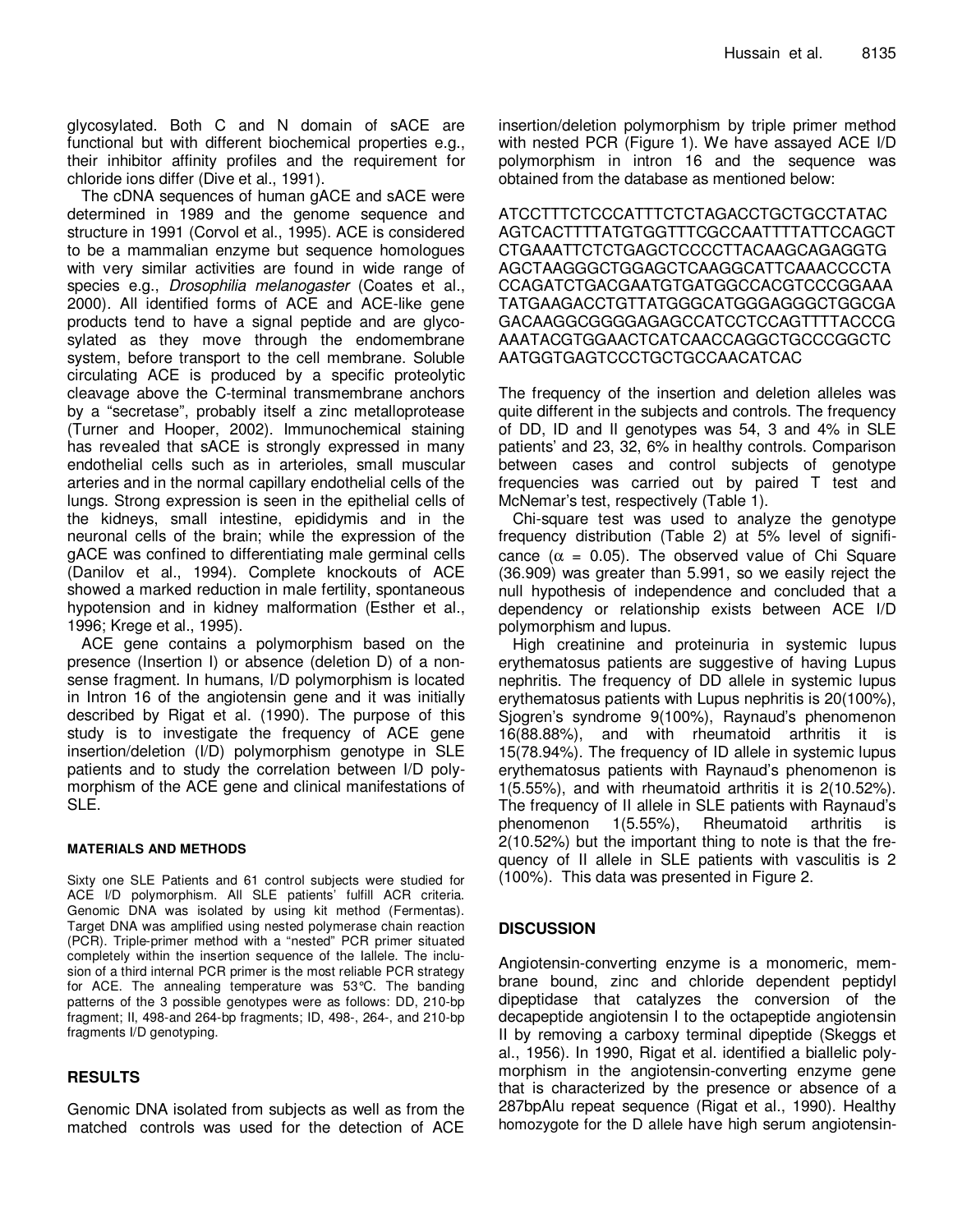glycosylated. Both C and N domain of sACE are functional but with different biochemical properties e.g., their inhibitor affinity profiles and the requirement for chloride ions differ (Dive et al., 1991).

The cDNA sequences of human gACE and sACE were determined in 1989 and the genome sequence and structure in 1991 (Corvol et al., 1995). ACE is considered to be a mammalian enzyme but sequence homologues with very similar activities are found in wide range of species e.g., Drosophilia melanogaster (Coates et al., 2000). All identified forms of ACE and ACE-like gene products tend to have a signal peptide and are glycosylated as they move through the endomembrane system, before transport to the cell membrane. Soluble circulating ACE is produced by a specific proteolytic cleavage above the C-terminal transmembrane anchors by a "secretase", probably itself a zinc metalloprotease (Turner and Hooper, 2002). Immunochemical staining has revealed that sACE is strongly expressed in many endothelial cells such as in arterioles, small muscular arteries and in the normal capillary endothelial cells of the lungs. Strong expression is seen in the epithelial cells of the kidneys, small intestine, epididymis and in the neuronal cells of the brain; while the expression of the gACE was confined to differentiating male germinal cells (Danilov et al., 1994). Complete knockouts of ACE showed a marked reduction in male fertility, spontaneous hypotension and in kidney malformation (Esther et al., 1996; Krege et al., 1995).

ACE gene contains a polymorphism based on the presence (Insertion I) or absence (deletion D) of a nonsense fragment. In humans, I/D polymorphism is located in Intron 16 of the angiotensin gene and it was initially described by Rigat et al. (1990). The purpose of this study is to investigate the frequency of ACE gene insertion/deletion (I/D) polymorphism genotype in SLE patients and to study the correlation between I/D polymorphism of the ACE gene and clinical manifestations of SLE.

#### **MATERIALS AND METHODS**

Sixty one SLE Patients and 61 control subjects were studied for ACE I/D polymorphism. All SLE patients' fulfill ACR criteria. Genomic DNA was isolated by using kit method (Fermentas). Target DNA was amplified using nested polymerase chain reaction (PCR). Triple-primer method with a "nested" PCR primer situated completely within the insertion sequence of the Iallele. The inclusion of a third internal PCR primer is the most reliable PCR strategy for ACE. The annealing temperature was 53°C. The banding patterns of the 3 possible genotypes were as follows: DD, 210-bp fragment; II, 498-and 264-bp fragments; ID, 498-, 264-, and 210-bp fragments I/D genotyping.

### **RESULTS**

Genomic DNA isolated from subjects as well as from the matched controls was used for the detection of ACE

insertion/deletion polymorphism by triple primer method with nested PCR (Figure 1). We have assayed ACE I/D polymorphism in intron 16 and the sequence was obtained from the database as mentioned below:

ATCCTTTCTCCCATTTCTCTAGACCTGCTGCCTATAC AGTCACTTTTATGTGGTTTCGCCAATTTTATTCCAGCT CTGAAATTCTCTGAGCTCCCCTTACAAGCAGAGGTG AGCTAAGGGCTGGAGCTCAAGGCATTCAAACCCCTA CCAGATCTGACGAATGTGATGGCCACGTCCCGGAAA TATGAAGACCTGTTATGGGCATGGGAGGGCTGGCGA GACAAGGCGGGGAGAGCCATCCTCCAGTTTTACCCG AAATACGTGGAACTCATCAACCAGGCTGCCCGGCTC AATGGTGAGTCCCTGCTGCCAACATCAC

The frequency of the insertion and deletion alleles was quite different in the subjects and controls. The frequency of DD, ID and II genotypes was 54, 3 and 4% in SLE patients' and 23, 32, 6% in healthy controls. Comparison between cases and control subjects of genotype frequencies was carried out by paired T test and McNemar's test, respectively (Table 1).

Chi-square test was used to analyze the genotype frequency distribution (Table 2) at 5% level of significance ( $\alpha$  = 0.05). The observed value of Chi Square (36.909) was greater than 5.991, so we easily reject the null hypothesis of independence and concluded that a dependency or relationship exists between ACE I/D polymorphism and lupus.

High creatinine and proteinuria in systemic lupus erythematosus patients are suggestive of having Lupus nephritis. The frequency of DD allele in systemic lupus erythematosus patients with Lupus nephritis is 20(100%), Sjogren's syndrome 9(100%), Raynaud's phenomenon 16(88.88%), and with rheumatoid arthritis it is 15(78.94%). The frequency of ID allele in systemic lupus erythematosus patients with Raynaud's phenomenon is 1(5.55%), and with rheumatoid arthritis it is 2(10.52%). The frequency of II allele in SLE patients with Raynaud's phenomenon 1(5.55%), Rheumatoid arthritis is 2(10.52%) but the important thing to note is that the frequency of II allele in SLE patients with vasculitis is 2 (100%). This data was presented in Figure 2.

### **DISCUSSION**

Angiotensin-converting enzyme is a monomeric, membrane bound, zinc and chloride dependent peptidyl dipeptidase that catalyzes the conversion of the decapeptide angiotensin I to the octapeptide angiotensin II by removing a carboxy terminal dipeptide (Skeggs et al., 1956). In 1990, Rigat et al. identified a biallelic polymorphism in the angiotensin-converting enzyme gene that is characterized by the presence or absence of a 287bpAlu repeat sequence (Rigat et al., 1990). Healthy homozygote for the D allele have high serum angiotensin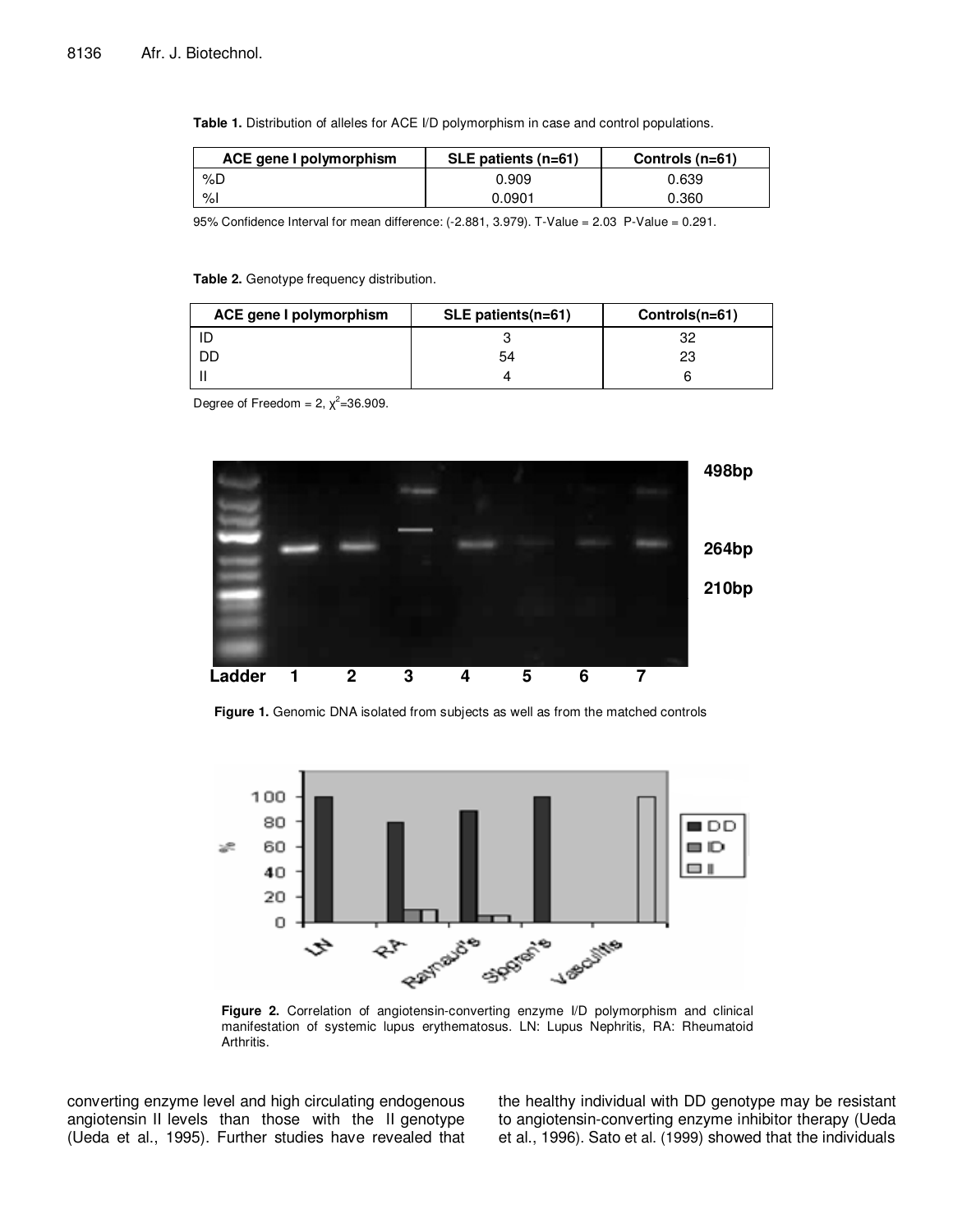Table 1. Distribution of alleles for ACE I/D polymorphism in case and control populations.

| ACE gene I polymorphism | $SLE$ patients (n=61) | Controls $(n=61)$ |
|-------------------------|-----------------------|-------------------|
| %D                      | 0.909                 | 0.639             |
| %                       | 0.0901                | 0.360             |

95% Confidence Interval for mean difference: (-2.881, 3.979). T-Value = 2.03 P-Value = 0.291.

#### **Table 2.** Genotype frequency distribution.

| ACE gene I polymorphism | $SLE$ patients(n=61) | Controls(n=61) |
|-------------------------|----------------------|----------------|
|                         |                      | 32             |
| DD                      | 54                   | 23             |
|                         |                      |                |

Degree of Freedom = 2,  $\chi^2$ =36.909.



**Figure 1.** Genomic DNA isolated from subjects as well as from the matched controls



**Figure 2.** Correlation of angiotensin-converting enzyme I/D polymorphism and clinical manifestation of systemic lupus erythematosus. LN: Lupus Nephritis, RA: Rheumatoid Arthritis.

converting enzyme level and high circulating endogenous angiotensin II levels than those with the II genotype (Ueda et al., 1995). Further studies have revealed that the healthy individual with DD genotype may be resistant to angiotensin-converting enzyme inhibitor therapy (Ueda et al., 1996). Sato et al. (1999) showed that the individuals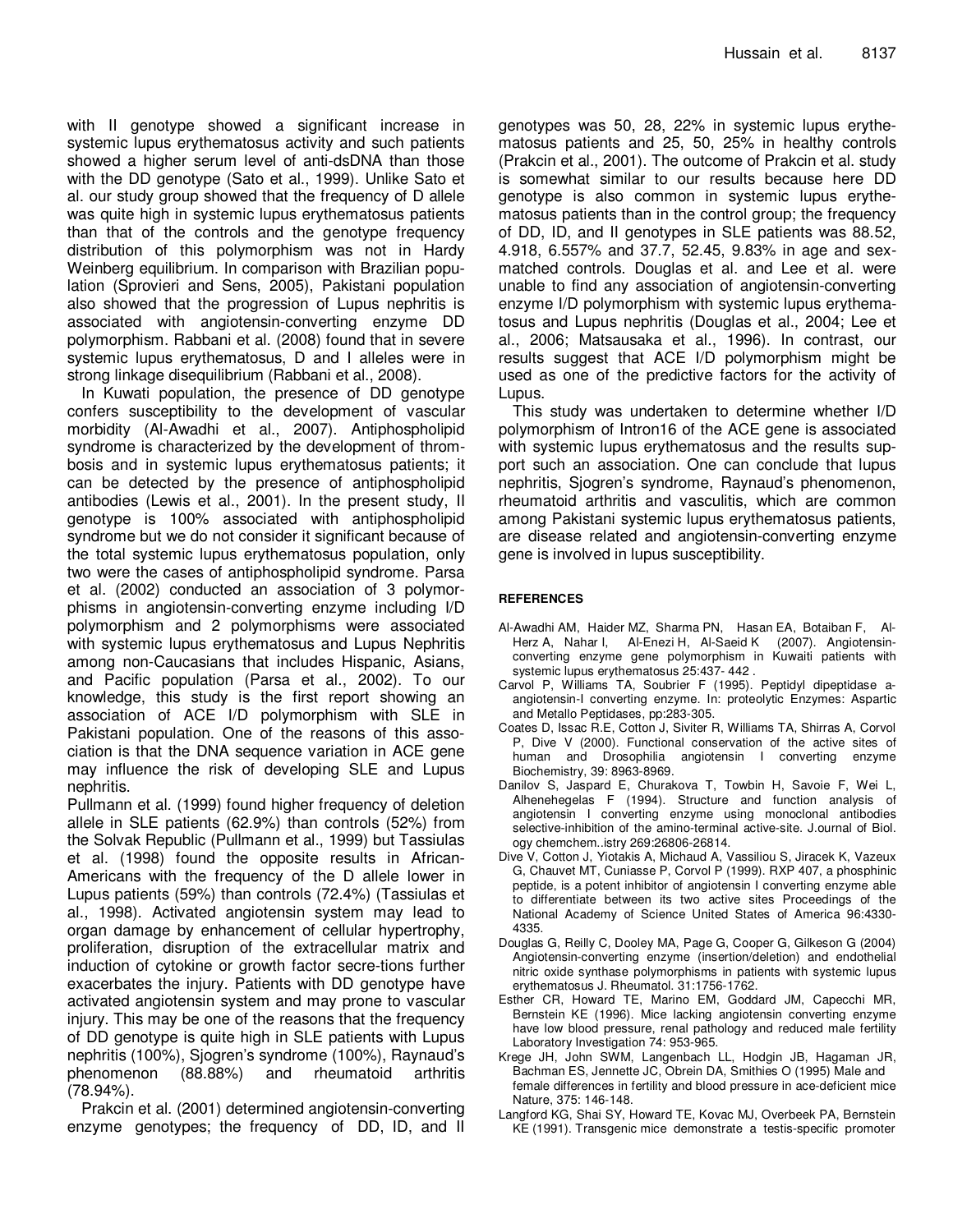with II genotype showed a significant increase in systemic lupus erythematosus activity and such patients showed a higher serum level of anti-dsDNA than those with the DD genotype (Sato et al., 1999). Unlike Sato et al. our study group showed that the frequency of D allele was quite high in systemic lupus erythematosus patients than that of the controls and the genotype frequency distribution of this polymorphism was not in Hardy Weinberg equilibrium. In comparison with Brazilian population (Sprovieri and Sens, 2005), Pakistani population also showed that the progression of Lupus nephritis is associated with angiotensin-converting enzyme DD polymorphism. Rabbani et al. (2008) found that in severe systemic lupus erythematosus, D and I alleles were in strong linkage disequilibrium (Rabbani et al., 2008).

In Kuwati population, the presence of DD genotype confers susceptibility to the development of vascular morbidity (Al-Awadhi et al., 2007). Antiphospholipid syndrome is characterized by the development of thrombosis and in systemic lupus erythematosus patients; it can be detected by the presence of antiphospholipid antibodies (Lewis et al., 2001). In the present study, II genotype is 100% associated with antiphospholipid syndrome but we do not consider it significant because of the total systemic lupus erythematosus population, only two were the cases of antiphospholipid syndrome. Parsa et al. (2002) conducted an association of 3 polymorphisms in angiotensin-converting enzyme including I/D polymorphism and 2 polymorphisms were associated with systemic lupus erythematosus and Lupus Nephritis among non-Caucasians that includes Hispanic, Asians, and Pacific population (Parsa et al., 2002). To our knowledge, this study is the first report showing an association of ACE I/D polymorphism with SLE in Pakistani population. One of the reasons of this association is that the DNA sequence variation in ACE gene may influence the risk of developing SLE and Lupus nephritis.

Pullmann et al. (1999) found higher frequency of deletion allele in SLE patients (62.9%) than controls (52%) from the Solvak Republic (Pullmann et al., 1999) but Tassiulas et al. (1998) found the opposite results in African-Americans with the frequency of the D allele lower in Lupus patients (59%) than controls (72.4%) (Tassiulas et al., 1998). Activated angiotensin system may lead to organ damage by enhancement of cellular hypertrophy, proliferation, disruption of the extracellular matrix and induction of cytokine or growth factor secre-tions further exacerbates the injury. Patients with DD genotype have activated angiotensin system and may prone to vascular injury. This may be one of the reasons that the frequency of DD genotype is quite high in SLE patients with Lupus nephritis (100%), Sjogren's syndrome (100%), Raynaud's phenomenon (88.88%) and rheumatoid arthritis (78.94%).

Prakcin et al. (2001) determined angiotensin-converting enzyme genotypes; the frequency of DD, ID, and II genotypes was 50, 28, 22% in systemic lupus erythematosus patients and 25, 50, 25% in healthy controls (Prakcin et al., 2001). The outcome of Prakcin et al. study is somewhat similar to our results because here DD genotype is also common in systemic lupus erythematosus patients than in the control group; the frequency of DD, ID, and II genotypes in SLE patients was 88.52, 4.918, 6.557% and 37.7, 52.45, 9.83% in age and sexmatched controls. Douglas et al. and Lee et al. were unable to find any association of angiotensin-converting enzyme I/D polymorphism with systemic lupus erythematosus and Lupus nephritis (Douglas et al., 2004; Lee et al., 2006; Matsausaka et al., 1996). In contrast, our results suggest that ACE I/D polymorphism might be used as one of the predictive factors for the activity of Lupus.

This study was undertaken to determine whether I/D polymorphism of Intron16 of the ACE gene is associated with systemic lupus erythematosus and the results support such an association. One can conclude that lupus nephritis, Sjogren's syndrome, Raynaud's phenomenon, rheumatoid arthritis and vasculitis, which are common among Pakistani systemic lupus erythematosus patients, are disease related and angiotensin-converting enzyme gene is involved in lupus susceptibility.

### **REFERENCES**

- Al-Awadhi AM, Haider MZ, Sharma PN, Hasan EA, Botaiban F, Al-Herz A, Nahar I, Al-Enezi H, Al-Saeid K (2007). Angiotensinconverting enzyme gene polymorphism in Kuwaiti patients with systemic lupus erythematosus 25:437- 442 .
- Carvol P, Williams TA, Soubrier F (1995). Peptidyl dipeptidase aangiotensin-I converting enzyme. In: proteolytic Enzymes: Aspartic and Metallo Peptidases, pp:283-305.
- Coates D, Issac R.E, Cotton J, Siviter R, Williams TA, Shirras A, Corvol P, Dive V (2000). Functional conservation of the active sites of human and Drosophilia angiotensin I converting enzyme Biochemistry, 39: 8963-8969.
- Danilov S, Jaspard E, Churakova T, Towbin H, Savoie F, Wei L, Alhenehegelas F (1994). Structure and function analysis of angiotensin I converting enzyme using monoclonal antibodies selective-inhibition of the amino-terminal active-site. J.ournal of Biol. ogy chemchem..istry 269:26806-26814.
- Dive V, Cotton J, Yiotakis A, Michaud A, Vassiliou S, Jiracek K, Vazeux G, Chauvet MT, Cuniasse P, Corvol P (1999). RXP 407, a phosphinic peptide, is a potent inhibitor of angiotensin I converting enzyme able to differentiate between its two active sites Proceedings of the National Academy of Science United States of America 96:4330- 4335.
- Douglas G, Reilly C, Dooley MA, Page G, Cooper G, Gilkeson G (2004) Angiotensin-converting enzyme (insertion/deletion) and endothelial nitric oxide synthase polymorphisms in patients with systemic lupus erythematosus J. Rheumatol. 31:1756-1762.
- Esther CR, Howard TE, Marino EM, Goddard JM, Capecchi MR, Bernstein KE (1996). Mice lacking angiotensin converting enzyme have low blood pressure, renal pathology and reduced male fertility Laboratory Investigation 74: 953-965.
- Krege JH, John SWM, Langenbach LL, Hodgin JB, Hagaman JR, Bachman ES, Jennette JC, Obrein DA, Smithies O (1995) Male and female differences in fertility and blood pressure in ace-deficient mice Nature, 375: 146-148.
- Langford KG, Shai SY, Howard TE, Kovac MJ, Overbeek PA, Bernstein KE (1991). Transgenic mice demonstrate a testis-specific promoter